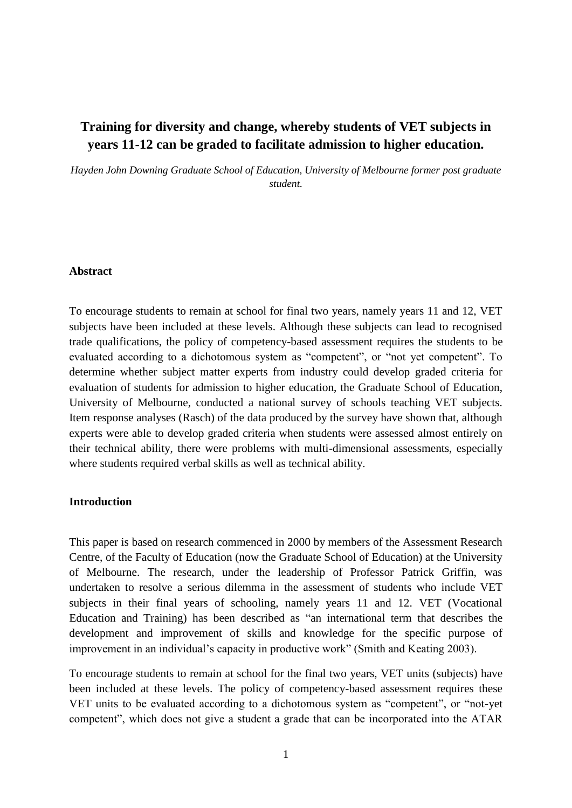# **Training for diversity and change, whereby students of VET subjects in years 11-12 can be graded to facilitate admission to higher education.**

*Hayden John Downing Graduate School of Education, University of Melbourne former post graduate student.*

#### **Abstract**

To encourage students to remain at school for final two years, namely years 11 and 12, VET subjects have been included at these levels. Although these subjects can lead to recognised trade qualifications, the policy of competency-based assessment requires the students to be evaluated according to a dichotomous system as "competent", or "not yet competent". To determine whether subject matter experts from industry could develop graded criteria for evaluation of students for admission to higher education, the Graduate School of Education, University of Melbourne, conducted a national survey of schools teaching VET subjects. Item response analyses (Rasch) of the data produced by the survey have shown that, although experts were able to develop graded criteria when students were assessed almost entirely on their technical ability, there were problems with multi-dimensional assessments, especially where students required verbal skills as well as technical ability.

#### **Introduction**

This paper is based on research commenced in 2000 by members of the Assessment Research Centre, of the Faculty of Education (now the Graduate School of Education) at the University of Melbourne. The research, under the leadership of Professor Patrick Griffin, was undertaken to resolve a serious dilemma in the assessment of students who include VET subjects in their final years of schooling, namely years 11 and 12. VET (Vocational Education and Training) has been described as "an international term that describes the development and improvement of skills and knowledge for the specific purpose of improvement in an individual's capacity in productive work" (Smith and Keating 2003).

To encourage students to remain at school for the final two years, VET units (subjects) have been included at these levels. The policy of competency-based assessment requires these VET units to be evaluated according to a dichotomous system as "competent", or "not-yet competent", which does not give a student a grade that can be incorporated into the ATAR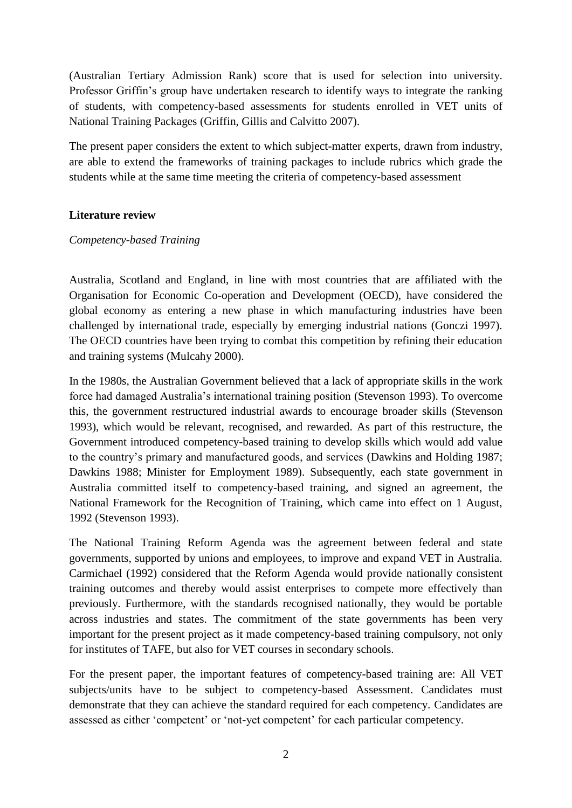(Australian Tertiary Admission Rank) score that is used for selection into university. Professor Griffin's group have undertaken research to identify ways to integrate the ranking of students, with competency-based assessments for students enrolled in VET units of National Training Packages (Griffin, Gillis and Calvitto 2007).

The present paper considers the extent to which subject-matter experts, drawn from industry, are able to extend the frameworks of training packages to include rubrics which grade the students while at the same time meeting the criteria of competency-based assessment

### **Literature review**

#### *Competency-based Training*

Australia, Scotland and England, in line with most countries that are affiliated with the Organisation for Economic Co-operation and Development (OECD), have considered the global economy as entering a new phase in which manufacturing industries have been challenged by international trade, especially by emerging industrial nations (Gonczi 1997). The OECD countries have been trying to combat this competition by refining their education and training systems (Mulcahy 2000).

In the 1980s, the Australian Government believed that a lack of appropriate skills in the work force had damaged Australia's international training position (Stevenson 1993). To overcome this, the government restructured industrial awards to encourage broader skills (Stevenson 1993), which would be relevant, recognised, and rewarded. As part of this restructure, the Government introduced competency-based training to develop skills which would add value to the country's primary and manufactured goods, and services (Dawkins and Holding 1987; Dawkins 1988; Minister for Employment 1989). Subsequently, each state government in Australia committed itself to competency-based training, and signed an agreement, the National Framework for the Recognition of Training, which came into effect on 1 August, 1992 (Stevenson 1993).

The National Training Reform Agenda was the agreement between federal and state governments, supported by unions and employees, to improve and expand VET in Australia. Carmichael (1992) considered that the Reform Agenda would provide nationally consistent training outcomes and thereby would assist enterprises to compete more effectively than previously. Furthermore, with the standards recognised nationally, they would be portable across industries and states. The commitment of the state governments has been very important for the present project as it made competency-based training compulsory, not only for institutes of TAFE, but also for VET courses in secondary schools.

For the present paper, the important features of competency-based training are: All VET subjects/units have to be subject to competency-based Assessment. Candidates must demonstrate that they can achieve the standard required for each competency. Candidates are assessed as either 'competent' or 'not-yet competent' for each particular competency.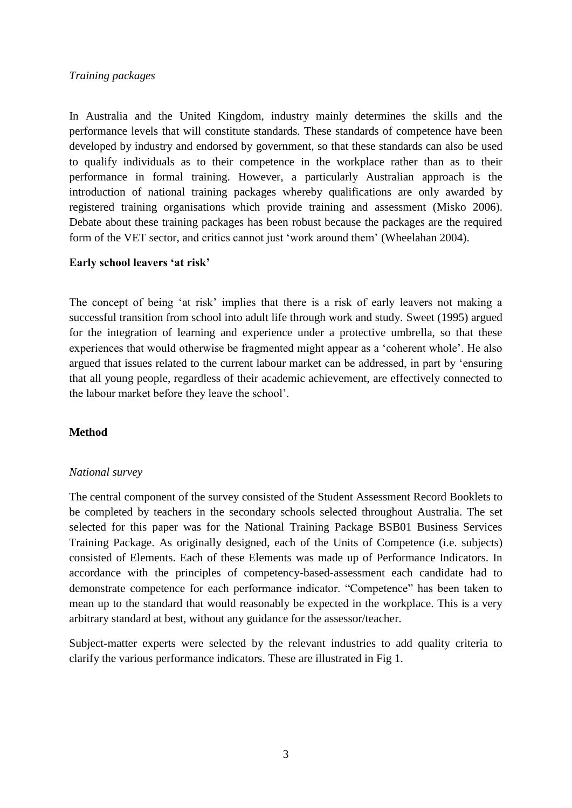## *Training packages*

In Australia and the United Kingdom, industry mainly determines the skills and the performance levels that will constitute standards. These standards of competence have been developed by industry and endorsed by government, so that these standards can also be used to qualify individuals as to their competence in the workplace rather than as to their performance in formal training. However, a particularly Australian approach is the introduction of national training packages whereby qualifications are only awarded by registered training organisations which provide training and assessment (Misko 2006). Debate about these training packages has been robust because the packages are the required form of the VET sector, and critics cannot just 'work around them' (Wheelahan 2004).

### **Early school leavers 'at risk'**

The concept of being 'at risk' implies that there is a risk of early leavers not making a successful transition from school into adult life through work and study. Sweet (1995) argued for the integration of learning and experience under a protective umbrella, so that these experiences that would otherwise be fragmented might appear as a 'coherent whole'. He also argued that issues related to the current labour market can be addressed, in part by 'ensuring that all young people, regardless of their academic achievement, are effectively connected to the labour market before they leave the school'.

## **Method**

#### *National survey*

The central component of the survey consisted of the Student Assessment Record Booklets to be completed by teachers in the secondary schools selected throughout Australia. The set selected for this paper was for the National Training Package BSB01 Business Services Training Package. As originally designed, each of the Units of Competence (i.e. subjects) consisted of Elements. Each of these Elements was made up of Performance Indicators. In accordance with the principles of competency-based-assessment each candidate had to demonstrate competence for each performance indicator. "Competence" has been taken to mean up to the standard that would reasonably be expected in the workplace. This is a very arbitrary standard at best, without any guidance for the assessor/teacher.

Subject-matter experts were selected by the relevant industries to add quality criteria to clarify the various performance indicators. These are illustrated in Fig 1.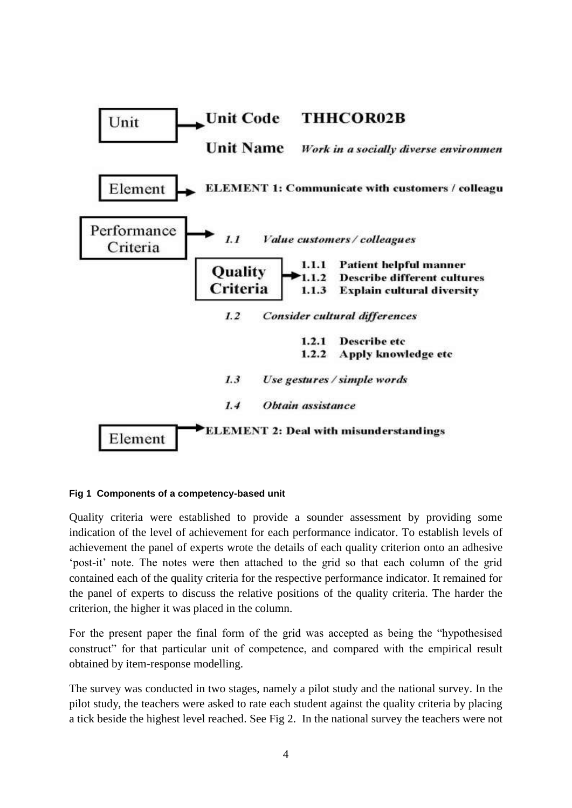

#### **Fig 1 Components of a competency-based unit**

Quality criteria were established to provide a sounder assessment by providing some indication of the level of achievement for each performance indicator. To establish levels of achievement the panel of experts wrote the details of each quality criterion onto an adhesive 'post-it' note. The notes were then attached to the grid so that each column of the grid contained each of the quality criteria for the respective performance indicator. It remained for the panel of experts to discuss the relative positions of the quality criteria. The harder the criterion, the higher it was placed in the column.

For the present paper the final form of the grid was accepted as being the "hypothesised construct" for that particular unit of competence, and compared with the empirical result obtained by item-response modelling.

The survey was conducted in two stages, namely a pilot study and the national survey. In the pilot study, the teachers were asked to rate each student against the quality criteria by placing a tick beside the highest level reached. See Fig 2. In the national survey the teachers were not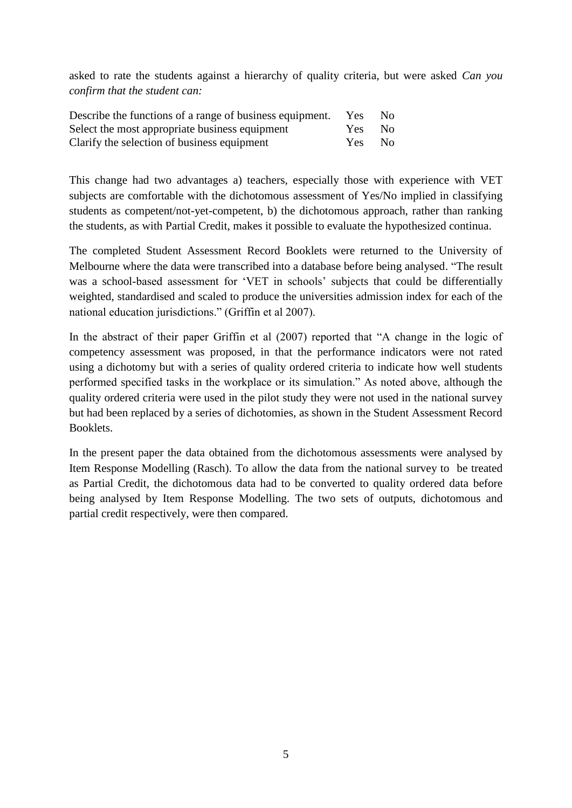asked to rate the students against a hierarchy of quality criteria, but were asked *Can you confirm that the student can:*

| Describe the functions of a range of business equipment. | Yes    | No. |
|----------------------------------------------------------|--------|-----|
| Select the most appropriate business equipment           | Yes No |     |
| Clarify the selection of business equipment              | Yes    | No. |

This change had two advantages a) teachers, especially those with experience with VET subjects are comfortable with the dichotomous assessment of Yes/No implied in classifying students as competent/not-yet-competent, b) the dichotomous approach, rather than ranking the students, as with Partial Credit, makes it possible to evaluate the hypothesized continua.

The completed Student Assessment Record Booklets were returned to the University of Melbourne where the data were transcribed into a database before being analysed. "The result was a school-based assessment for 'VET in schools' subjects that could be differentially weighted, standardised and scaled to produce the universities admission index for each of the national education jurisdictions." (Griffin et al 2007).

In the abstract of their paper Griffin et al (2007) reported that "A change in the logic of competency assessment was proposed, in that the performance indicators were not rated using a dichotomy but with a series of quality ordered criteria to indicate how well students performed specified tasks in the workplace or its simulation." As noted above, although the quality ordered criteria were used in the pilot study they were not used in the national survey but had been replaced by a series of dichotomies, as shown in the Student Assessment Record Booklets.

In the present paper the data obtained from the dichotomous assessments were analysed by Item Response Modelling (Rasch). To allow the data from the national survey to be treated as Partial Credit, the dichotomous data had to be converted to quality ordered data before being analysed by Item Response Modelling. The two sets of outputs, dichotomous and partial credit respectively, were then compared.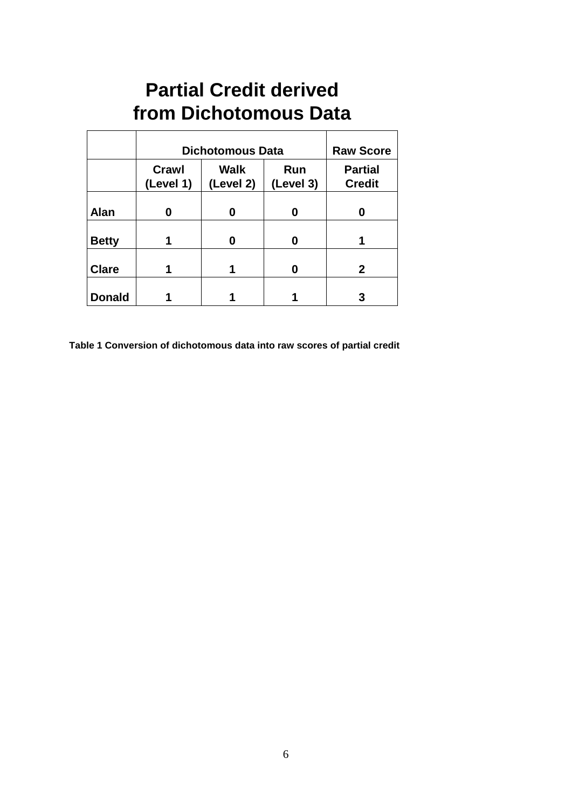# **Partial Credit derived from Dichotomous Data**

|               | <b>Dichotomous Data</b> |                          |                  | <b>Raw Score</b>                |
|---------------|-------------------------|--------------------------|------------------|---------------------------------|
|               | Crawl<br>(Level 1)      | <b>Walk</b><br>(Level 2) | Run<br>(Level 3) | <b>Partial</b><br><b>Credit</b> |
| <b>Alan</b>   |                         |                          | O                | Ω                               |
| <b>Betty</b>  |                         |                          | O                |                                 |
| <b>Clare</b>  |                         |                          |                  | 2                               |
| <b>Donald</b> |                         |                          |                  | 3                               |

**Table 1 Conversion of dichotomous data into raw scores of partial credit**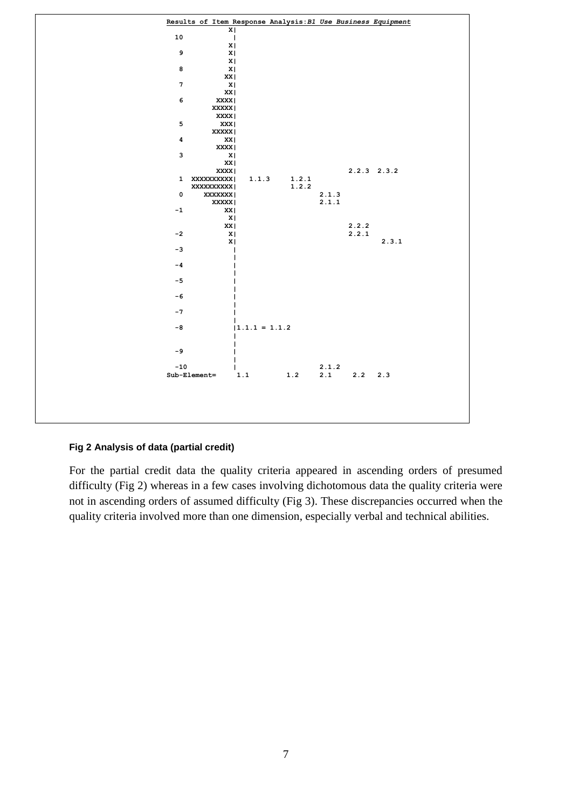

#### **Fig 2 Analysis of data (partial credit)**

For the partial credit data the quality criteria appeared in ascending orders of presumed difficulty (Fig 2) whereas in a few cases involving dichotomous data the quality criteria were not in ascending orders of assumed difficulty (Fig 3). These discrepancies occurred when the quality criteria involved more than one dimension, especially verbal and technical abilities.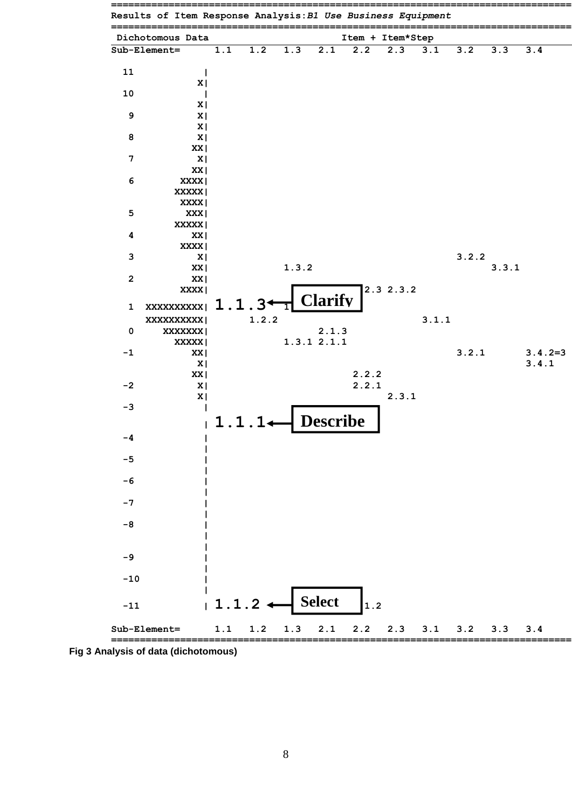

**Fig 3 Analysis of data (dichotomous)**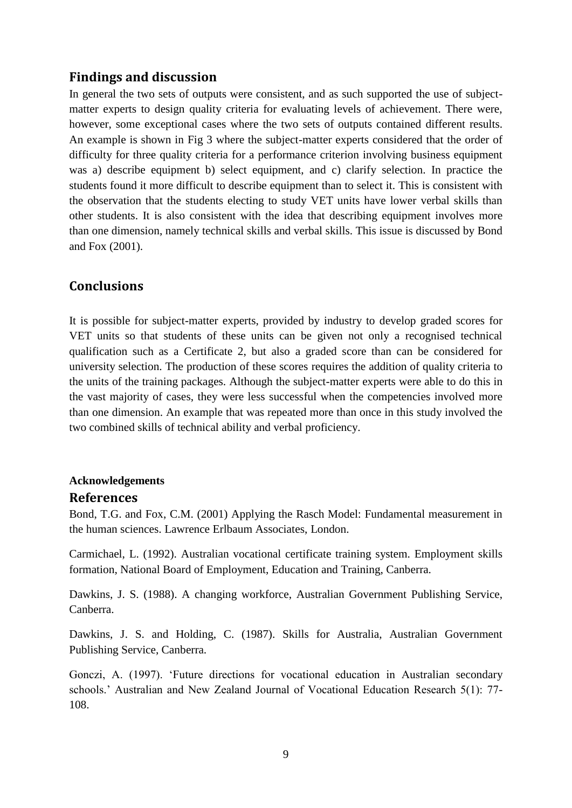# **Findings and discussion**

In general the two sets of outputs were consistent, and as such supported the use of subjectmatter experts to design quality criteria for evaluating levels of achievement. There were, however, some exceptional cases where the two sets of outputs contained different results. An example is shown in Fig 3 where the subject-matter experts considered that the order of difficulty for three quality criteria for a performance criterion involving business equipment was a) describe equipment b) select equipment, and c) clarify selection. In practice the students found it more difficult to describe equipment than to select it. This is consistent with the observation that the students electing to study VET units have lower verbal skills than other students. It is also consistent with the idea that describing equipment involves more than one dimension, namely technical skills and verbal skills. This issue is discussed by Bond and Fox (2001).

# **Conclusions**

It is possible for subject-matter experts, provided by industry to develop graded scores for VET units so that students of these units can be given not only a recognised technical qualification such as a Certificate 2, but also a graded score than can be considered for university selection. The production of these scores requires the addition of quality criteria to the units of the training packages. Although the subject-matter experts were able to do this in the vast majority of cases, they were less successful when the competencies involved more than one dimension. An example that was repeated more than once in this study involved the two combined skills of technical ability and verbal proficiency.

## **Acknowledgements References**

Bond, T.G. and Fox, C.M. (2001) Applying the Rasch Model: Fundamental measurement in the human sciences. Lawrence Erlbaum Associates, London.

Carmichael, L. (1992). Australian vocational certificate training system. Employment skills formation, National Board of Employment, Education and Training, Canberra.

Dawkins, J. S. (1988). A changing workforce, Australian Government Publishing Service, Canberra.

Dawkins, J. S. and Holding, C. (1987). Skills for Australia, Australian Government Publishing Service, Canberra.

Gonczi, A. (1997). 'Future directions for vocational education in Australian secondary schools.' Australian and New Zealand Journal of Vocational Education Research 5(1): 77- 108.